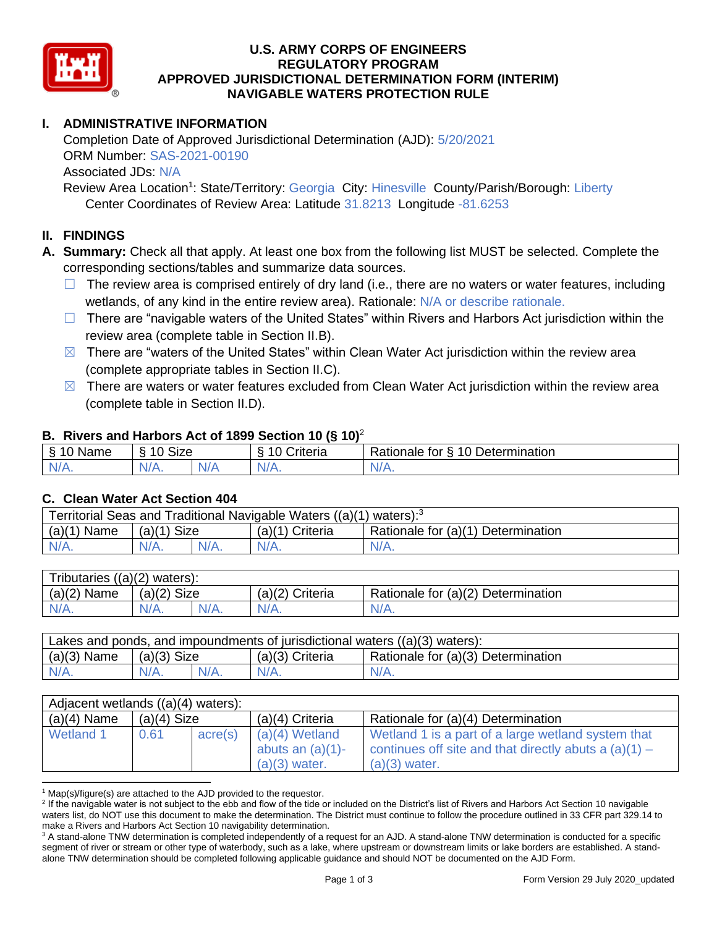

### **U.S. ARMY CORPS OF ENGINEERS APPROVED JURISDICTIONAL DETERMINATION FORM (INTERIM) NAVIGABLE WATERS PROTECTION RULE REGULATORY PROGRAM**

# **I. ADMINISTRATIVE INFORMATION**

 Completion Date of Approved Jurisdictional Determination (AJD): 5/20/2021 ORM Number: SAS-2021-00190 Associated JDs: N/A

Review Area Location<sup>1</sup>: State/Territory: Georgia City: Hinesville County/Parish/Borough: Liberty Center Coordinates of Review Area: Latitude 31.8213 Longitude -81.6253

# **II. FINDINGS**

 **A. Summary:** Check all that apply. At least one box from the following list MUST be selected. Complete the corresponding sections/tables and summarize data sources.

- $\Box$  The review area is comprised entirely of dry land (i.e., there are no waters or water features, including wetlands, of any kind in the entire review area). Rationale: N/A or describe rationale.
- □ There are "navigable waters of the United States" within Rivers and Harbors Act jurisdiction within the review area (complete table in Section II.B).
- $\boxtimes$  There are "waters of the United States" within Clean Water Act jurisdiction within the review area (complete appropriate tables in Section II.C).
- $\boxtimes$  There are waters or water features excluded from Clean Water Act jurisdiction within the review area (complete table in Section II.D).

### **B. Rivers and Harbors Act of 1899 Section 10 (§ 10)**<sup>2</sup>

| $\sim$<br>$\sim$<br>Name<br>ི<br>u<br>د٠ | $\sim$<br>10<br>izeے |           | . .<br>`rıtorıo<br>ισπα | $\sim$ $\sim$<br>-<br>$\sim$<br>-<br>Determination<br>tor<br>tionale |
|------------------------------------------|----------------------|-----------|-------------------------|----------------------------------------------------------------------|
| N/4                                      | N/A                  | $\pm$ 1.1 | N.                      | $N/A$ .                                                              |
| 97 / TV .                                | ″⁄¬.                 | N.        | .                       |                                                                      |

# **C. Clean Water Act Section 404**

| Territorial Seas and Traditional Navigable Waters $((a)(1)$ waters): <sup>3</sup> |               |  |                   |                                    |  |
|-----------------------------------------------------------------------------------|---------------|--|-------------------|------------------------------------|--|
| $(a)(1)$ Name                                                                     | $(a)(1)$ Size |  | $(a)(1)$ Criteria | Rationale for (a)(1) Determination |  |
|                                                                                   | $N/A$ .       |  | $N/A$ .           | $N/A$ .                            |  |

| Tributaries $((a)(2)$ waters): |               |         |                 |                                    |  |
|--------------------------------|---------------|---------|-----------------|------------------------------------|--|
| $(a)(2)$ Name                  | $(a)(2)$ Size |         | (a)(2) Criteria | Rationale for (a)(2) Determination |  |
| $N/A$ .                        | $N/A$ .       | $N/A$ . | $N/A$ .         | $N/A$ .                            |  |
|                                |               |         |                 |                                    |  |

| Lakes and ponds, and impoundments of jurisdictional waters $((a)(3)$ waters): |               |         |                   |                                    |  |  |
|-------------------------------------------------------------------------------|---------------|---------|-------------------|------------------------------------|--|--|
| $(a)(3)$ Name                                                                 | $(a)(3)$ Size |         | $(a)(3)$ Criteria | Rationale for (a)(3) Determination |  |  |
| $N/A$ .                                                                       | $N/A$ .       | $N/A$ . | $N/A$ .           | $N/A$ .                            |  |  |
|                                                                               |               |         |                   |                                    |  |  |

| Adjacent wetlands ((a)(4) waters): |               |         |                                                            |                                                                                                                                  |  |  |
|------------------------------------|---------------|---------|------------------------------------------------------------|----------------------------------------------------------------------------------------------------------------------------------|--|--|
| $(a)(4)$ Name                      | $(a)(4)$ Size |         | $(a)(4)$ Criteria                                          | Rationale for (a)(4) Determination                                                                                               |  |  |
| Wetland 1                          | 0.61          | acre(s) | $(a)(4)$ Wetland<br>abuts an $(a)(1)$ -<br>$(a)(3)$ water. | Wetland 1 is a part of a large wetland system that<br>continues off site and that directly abuts a $(a)(1)$ –<br>$(a)(3)$ water. |  |  |

 $1$  Map(s)/figure(s) are attached to the AJD provided to the requestor.

<sup>&</sup>lt;sup>2</sup> If the navigable water is not subject to the ebb and flow of the tide or included on the District's list of Rivers and Harbors Act Section 10 navigable waters list, do NOT use this document to make the determination. The District must continue to follow the procedure outlined in 33 CFR part 329.14 to make a Rivers and Harbors Act Section 10 navigability determination.

<sup>&</sup>lt;sup>3</sup> A stand-alone TNW determination is completed independently of a request for an AJD. A stand-alone TNW determination is conducted for a specific segment of river or stream or other type of waterbody, such as a lake, where upstream or downstream limits or lake borders are established. A stand-alone TNW determination should be completed following applicable guidance and should NOT be documented on the AJD Form.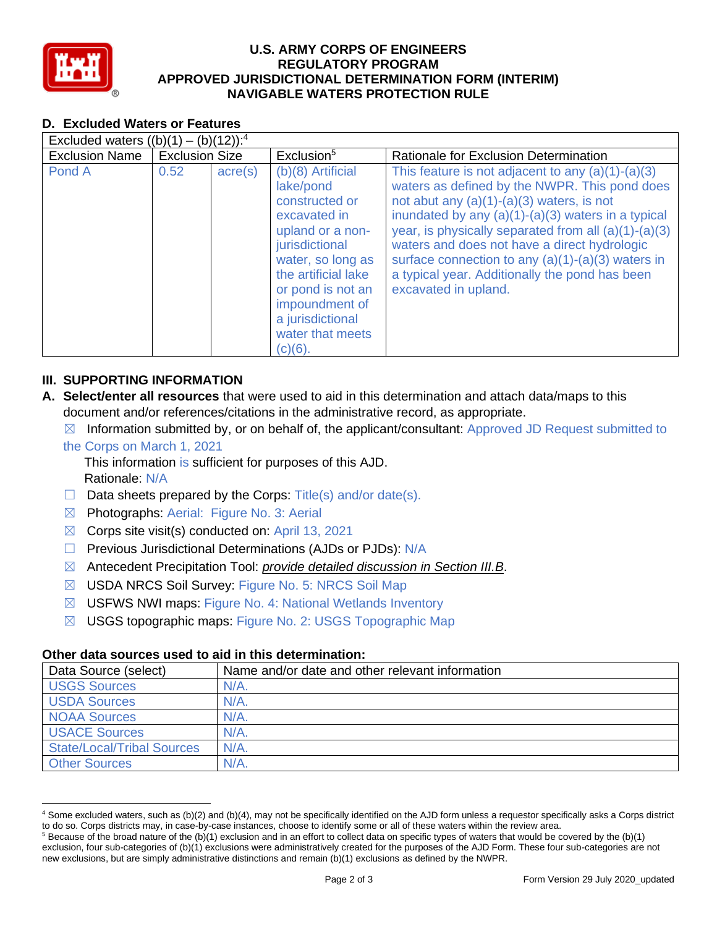

### **U.S. ARMY CORPS OF ENGINEERS APPROVED JURISDICTIONAL DETERMINATION FORM (INTERIM) NAVIGABLE WATERS PROTECTION RULE REGULATORY PROGRAM**

| <b>D. Excluded Waters or Features</b>               |                       |                  |                                                                                                                                                                                                                                                   |                                                                                                                                                                                                                                                                                                                                                                                                                                                        |  |
|-----------------------------------------------------|-----------------------|------------------|---------------------------------------------------------------------------------------------------------------------------------------------------------------------------------------------------------------------------------------------------|--------------------------------------------------------------------------------------------------------------------------------------------------------------------------------------------------------------------------------------------------------------------------------------------------------------------------------------------------------------------------------------------------------------------------------------------------------|--|
| Excluded waters $((b)(1) - (b)(12))$ : <sup>4</sup> |                       |                  |                                                                                                                                                                                                                                                   |                                                                                                                                                                                                                                                                                                                                                                                                                                                        |  |
| <b>Exclusion Name</b>                               | <b>Exclusion Size</b> |                  | Exclusion <sup>5</sup>                                                                                                                                                                                                                            | Rationale for Exclusion Determination                                                                                                                                                                                                                                                                                                                                                                                                                  |  |
| Pond A                                              | 0.52                  | $\text{acre}(s)$ | $(b)(8)$ Artificial<br>lake/pond<br>constructed or<br>excavated in<br>upland or a non-<br>jurisdictional<br>water, so long as<br>the artificial lake<br>or pond is not an<br>impoundment of<br>a jurisdictional<br>water that meets<br>$(c)(6)$ . | This feature is not adjacent to any $(a)(1)-(a)(3)$<br>waters as defined by the NWPR. This pond does<br>not abut any $(a)(1)-(a)(3)$ waters, is not<br>inundated by any $(a)(1)-(a)(3)$ waters in a typical<br>year, is physically separated from all $(a)(1)-(a)(3)$<br>waters and does not have a direct hydrologic<br>surface connection to any $(a)(1)-(a)(3)$ waters in<br>a typical year. Additionally the pond has been<br>excavated in upland. |  |

# **III. SUPPORTING INFORMATION**

- **A. Select/enter all resources** that were used to aid in this determination and attach data/maps to this document and/or references/citations in the administrative record, as appropriate.
	- $\boxtimes$  Information submitted by, or on behalf of, the applicant/consultant: Approved JD Request submitted to

### the Corps on March 1, 2021

This information is sufficient for purposes of this AJD. Rationale: N/A

- $\Box$  Data sheets prepared by the Corps: Title(s) and/or date(s).
- ☒ Photographs: Aerial: Figure No. 3: Aerial
- $\boxtimes$  Corps site visit(s) conducted on: April 13, 2021
- □ Previous Jurisdictional Determinations (AJDs or PJDs): N/A
- ☒ Antecedent Precipitation Tool: *provide detailed discussion in Section III.B*.
- ☒ USDA NRCS Soil Survey: Figure No. 5: NRCS Soil Map
- ☒ USFWS NWI maps: Figure No. 4: National Wetlands Inventory
- ☒ USGS topographic maps: Figure No. 2: USGS Topographic Map

### **Other data sources used to aid in this determination:**

| Data Source (select)              | Name and/or date and other relevant information |
|-----------------------------------|-------------------------------------------------|
| <b>USGS Sources</b>               | $N/A$ .                                         |
| <b>USDA Sources</b>               | N/A                                             |
| <b>NOAA Sources</b>               | $N/A$ .                                         |
| <b>USACE Sources</b>              | $N/A$ .                                         |
| <b>State/Local/Tribal Sources</b> | $N/A$ .                                         |
| <b>Other Sources</b>              | $N/A$ .                                         |

<sup>&</sup>lt;sup>4</sup> Some excluded waters, such as (b)(2) and (b)(4), may not be specifically identified on the AJD form unless a requestor specifically asks a Corps district to do so. Corps districts may, in case-by-case instances, choose to identify some or all of these waters within the review area.

to do so. Corps districts may, in case-by-case instances, choose to identify some or all of these waters within the review area.<br><sup>5</sup> Because of the broad nature of the (b)(1) exclusion and in an effort to collect data on s exclusion, four sub-categories of (b)(1) exclusions were administratively created for the purposes of the AJD Form. These four sub-categories are not new exclusions, but are simply administrative distinctions and remain (b)(1) exclusions as defined by the NWPR.